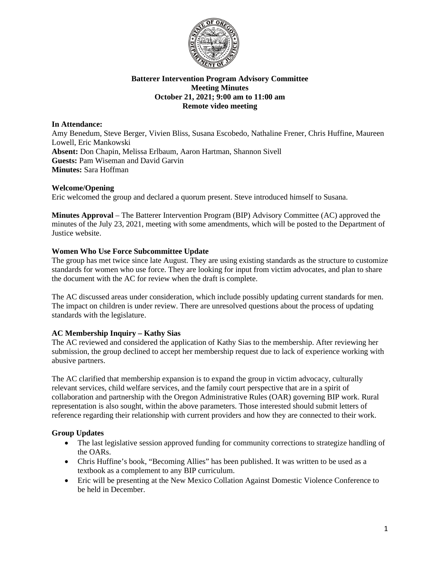

## **Batterer Intervention Program Advisory Committee Meeting Minutes October 21, 2021; 9:00 am to 11:00 am Remote video meeting**

## **In Attendance:**

Amy Benedum, Steve Berger, Vivien Bliss, Susana Escobedo, Nathaline Frener, Chris Huffine, Maureen Lowell, Eric Mankowski **Absent:** Don Chapin, Melissa Erlbaum, Aaron Hartman, Shannon Sivell **Guests:** Pam Wiseman and David Garvin **Minutes:** Sara Hoffman

#### **Welcome/Opening**

Eric welcomed the group and declared a quorum present. Steve introduced himself to Susana.

**Minutes Approval** – The Batterer Intervention Program (BIP) Advisory Committee (AC) approved the minutes of the July 23, 2021, meeting with some amendments, which will be posted to the Department of Justice website.

## **Women Who Use Force Subcommittee Update**

The group has met twice since late August. They are using existing standards as the structure to customize standards for women who use force. They are looking for input from victim advocates, and plan to share the document with the AC for review when the draft is complete.

The AC discussed areas under consideration, which include possibly updating current standards for men. The impact on children is under review. There are unresolved questions about the process of updating standards with the legislature.

# **AC Membership Inquiry – Kathy Sias**

The AC reviewed and considered the application of Kathy Sias to the membership. After reviewing her submission, the group declined to accept her membership request due to lack of experience working with abusive partners.

The AC clarified that membership expansion is to expand the group in victim advocacy, culturally relevant services, child welfare services, and the family court perspective that are in a spirit of collaboration and partnership with the Oregon Administrative Rules (OAR) governing BIP work. Rural representation is also sought, within the above parameters. Those interested should submit letters of reference regarding their relationship with current providers and how they are connected to their work.

# **Group Updates**

- The last legislative session approved funding for community corrections to strategize handling of the OARs.
- Chris Huffine's book, "Becoming Allies" has been published. It was written to be used as a textbook as a complement to any BIP curriculum.
- Eric will be presenting at the New Mexico Collation Against Domestic Violence Conference to be held in December.